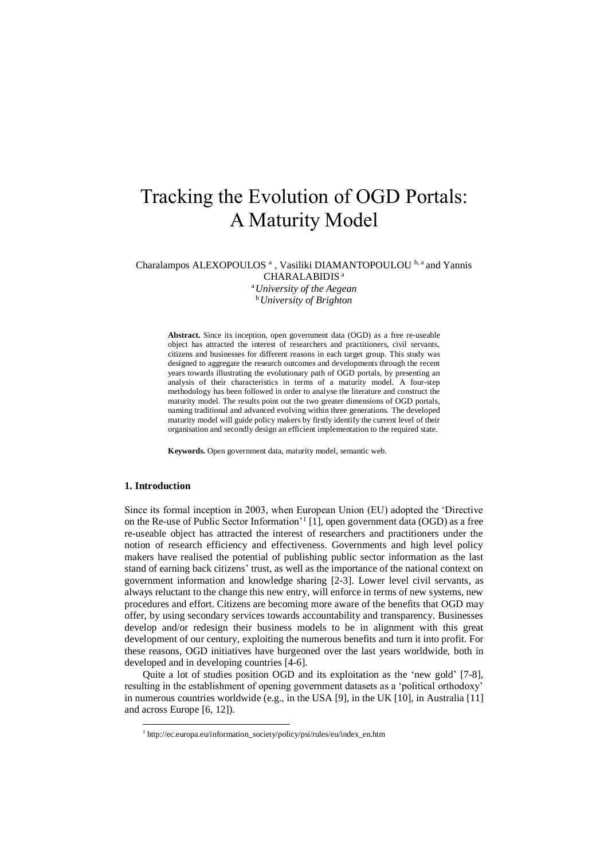# Tracking the Evolution of OGD Portals: A Maturity Model

## Charalampos ALEXOPOULOS<sup>a</sup>, Vasiliki DIAMANTOPOULOU<sup>b, a</sup> and Yannis CHARALABIDIS<sup>a</sup>

<sup>a</sup>*University of the Aegean* <sup>b</sup>*University of Brighton*

**Abstract.** Since its inception, open government data (OGD) as a free re-useable object has attracted the interest of researchers and practitioners, civil servants, citizens and businesses for different reasons in each target group. This study was designed to aggregate the research outcomes and developments through the recent years towards illustrating the evolutionary path of OGD portals, by presenting an analysis of their characteristics in terms of a maturity model. A four-step methodology has been followed in order to analyse the literature and construct the maturity model. The results point out the two greater dimensions of OGD portals, naming traditional and advanced evolving within three generations. The developed maturity model will guide policy makers by firstly identify the current level of their organisation and secondly design an efficient implementation to the required state.

**Keywords.** Open government data, maturity model, semantic web.

## **1. Introduction**

-

Since its formal inception in 2003, when European Union (EU) adopted the 'Directive on the Re-use of Public Sector Information'<sup>1</sup> [1], open government data (OGD) as a free re-useable object has attracted the interest of researchers and practitioners under the notion of research efficiency and effectiveness. Governments and high level policy makers have realised the potential of publishing public sector information as the last stand of earning back citizens' trust, as well as the importance of the national context on government information and knowledge sharing [2-3]. Lower level civil servants, as always reluctant to the change this new entry, will enforce in terms of new systems, new procedures and effort. Citizens are becoming more aware of the benefits that OGD may offer, by using secondary services towards accountability and transparency. Businesses develop and/or redesign their business models to be in alignment with this great development of our century, exploiting the numerous benefits and turn it into profit. For these reasons, OGD initiatives have burgeoned over the last years worldwide, both in developed and in developing countries [4-6].

Quite a lot of studies position OGD and its exploitation as the 'new gold' [7-8], resulting in the establishment of opening government datasets as a 'political orthodoxy' in numerous countries worldwide (e.g., in the USA [9], in the UK [10], in Australia [11] and across Europe [6, 12]).

<sup>1</sup> http://ec.europa.eu/information\_society/policy/psi/rules/eu/index\_en.htm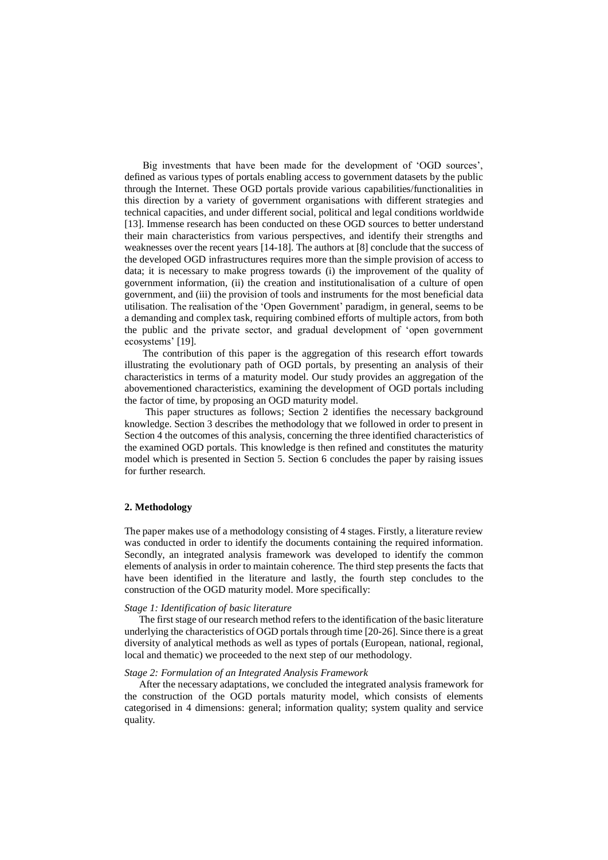Big investments that have been made for the development of 'OGD sources', defined as various types of portals enabling access to government datasets by the public through the Internet. These OGD portals provide various capabilities/functionalities in this direction by a variety of government organisations with different strategies and technical capacities, and under different social, political and legal conditions worldwide [13]. Immense research has been conducted on these OGD sources to better understand their main characteristics from various perspectives, and identify their strengths and weaknesses over the recent years [14-18]. The authors at [8] conclude that the success of the developed OGD infrastructures requires more than the simple provision of access to data; it is necessary to make progress towards (i) the improvement of the quality of government information, (ii) the creation and institutionalisation of a culture of open government, and (iii) the provision of tools and instruments for the most beneficial data utilisation. The realisation of the 'Open Government' paradigm, in general, seems to be a demanding and complex task, requiring combined efforts of multiple actors, from both the public and the private sector, and gradual development of 'open government ecosystems' [19].

The contribution of this paper is the aggregation of this research effort towards illustrating the evolutionary path of OGD portals, by presenting an analysis of their characteristics in terms of a maturity model. Our study provides an aggregation of the abovementioned characteristics, examining the development of OGD portals including the factor of time, by proposing an OGD maturity model.

This paper structures as follows; Section 2 identifies the necessary background knowledge. Section 3 describes the methodology that we followed in order to present in Section 4 the outcomes of this analysis, concerning the three identified characteristics of the examined OGD portals. This knowledge is then refined and constitutes the maturity model which is presented in Section 5. Section 6 concludes the paper by raising issues for further research.

# **2. Methodology**

The paper makes use of a methodology consisting of 4 stages. Firstly, a literature review was conducted in order to identify the documents containing the required information. Secondly, an integrated analysis framework was developed to identify the common elements of analysis in order to maintain coherence. The third step presents the facts that have been identified in the literature and lastly, the fourth step concludes to the construction of the OGD maturity model. More specifically:

## *Stage 1: Identification of basic literature*

The first stage of our research method refers to the identification of the basic literature underlying the characteristics of OGD portals through time [20-26].Since there is a great diversity of analytical methods as well as types of portals (European, national, regional, local and thematic) we proceeded to the next step of our methodology.

## *Stage 2: Formulation of an Integrated Analysis Framework*

After the necessary adaptations, we concluded the integrated analysis framework for the construction of the OGD portals maturity model, which consists of elements categorised in 4 dimensions: general; information quality; system quality and service quality.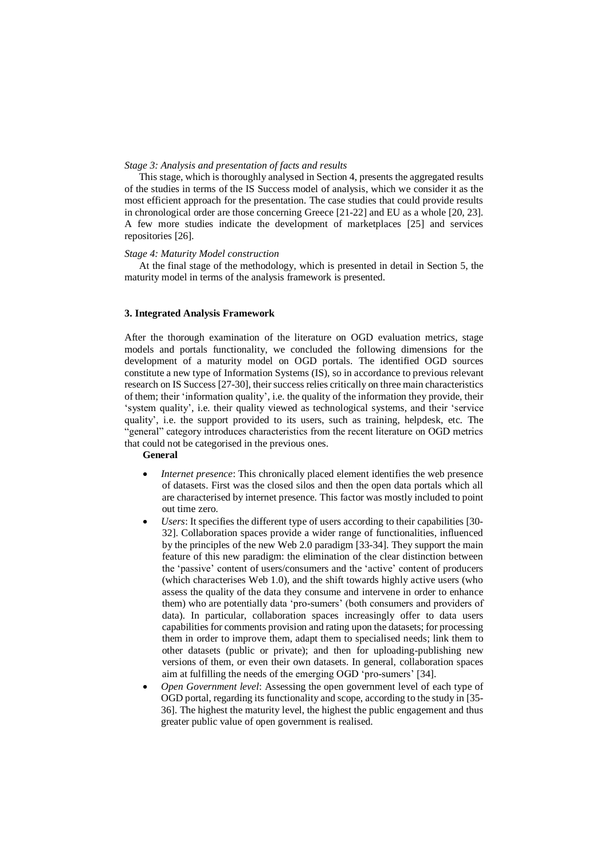## *Stage 3: Analysis and presentation of facts and results*

This stage, which is thoroughly analysed in Section 4, presents the aggregated results of the studies in terms of the IS Success model of analysis, which we consider it as the most efficient approach for the presentation. The case studies that could provide results in chronological order are those concerning Greece [21-22] and EU as a whole [20, 23]. A few more studies indicate the development of marketplaces [25] and services repositories [26].

# *Stage 4: Maturity Model construction*

At the final stage of the methodology, which is presented in detail in Section 5, the maturity model in terms of the analysis framework is presented.

## **3. Integrated Analysis Framework**

After the thorough examination of the literature on OGD evaluation metrics, stage models and portals functionality, we concluded the following dimensions for the development of a maturity model on OGD portals. The identified OGD sources constitute a new type of Information Systems (IS), so in accordance to previous relevant research on IS Success [27-30], their success relies critically on three main characteristics of them; their 'information quality', i.e. the quality of the information they provide, their 'system quality', i.e. their quality viewed as technological systems, and their 'service quality', i.e. the support provided to its users, such as training, helpdesk, etc. The "general" category introduces characteristics from the recent literature on OGD metrics that could not be categorised in the previous ones.

## **General**

- *Internet presence*: This chronically placed element identifies the web presence of datasets. First was the closed silos and then the open data portals which all are characterised by internet presence. This factor was mostly included to point out time zero.
- *Users*: It specifies the different type of users according to their capabilities [30- 32]. Collaboration spaces provide a wider range of functionalities, influenced by the principles of the new Web 2.0 paradigm [33-34]. They support the main feature of this new paradigm: the elimination of the clear distinction between the 'passive' content of users/consumers and the 'active' content of producers (which characterises Web 1.0), and the shift towards highly active users (who assess the quality of the data they consume and intervene in order to enhance them) who are potentially data 'pro-sumers' (both consumers and providers of data). In particular, collaboration spaces increasingly offer to data users capabilities for comments provision and rating upon the datasets; for processing them in order to improve them, adapt them to specialised needs; link them to other datasets (public or private); and then for uploading-publishing new versions of them, or even their own datasets. In general, collaboration spaces aim at fulfilling the needs of the emerging OGD 'pro-sumers' [34].
- *Open Government level*: Assessing the open government level of each type of OGD portal, regarding its functionality and scope, according to the study in [35- 36]. The highest the maturity level, the highest the public engagement and thus greater public value of open government is realised.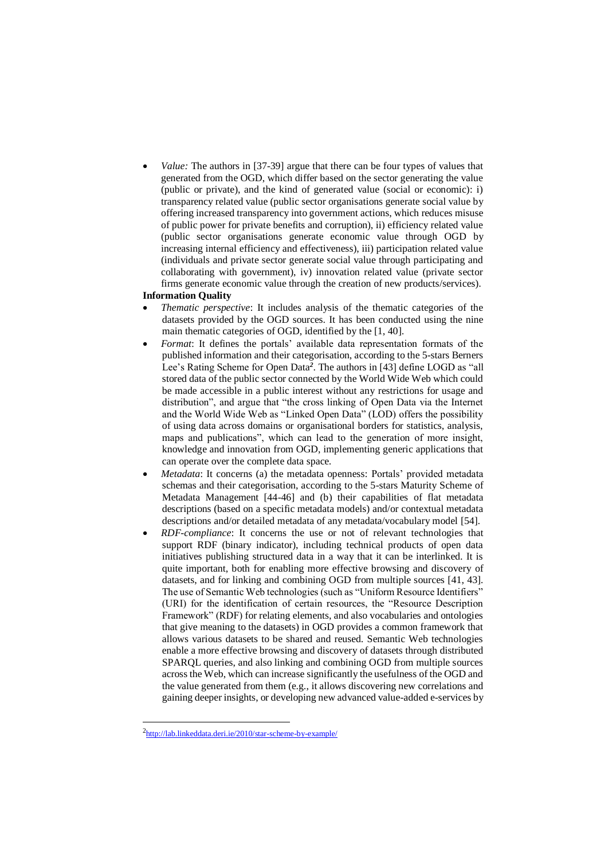• *Value:* The authors in [37-39] argue that there can be four types of values that generated from the OGD, which differ based on the sector generating the value (public or private), and the kind of generated value (social or economic): i) transparency related value (public sector organisations generate social value by offering increased transparency into government actions, which reduces misuse of public power for private benefits and corruption), ii) efficiency related value (public sector organisations generate economic value through OGD by increasing internal efficiency and effectiveness), iii) participation related value (individuals and private sector generate social value through participating and collaborating with government), iv) innovation related value (private sector firms generate economic value through the creation of new products/services).

# **Information Quality**

- *Thematic perspective*: It includes analysis of the thematic categories of the datasets provided by the OGD sources. It has been conducted using the nine main thematic categories of OGD, identified by the [1, 40].
- *Format*: It defines the portals' available data representation formats of the published information and their categorisation, according to the 5-stars Berners Lee's Rating Scheme for Open Data*<sup>2</sup>* . The authors in [43] define LOGD as "all stored data of the public sector connected by the World Wide Web which could be made accessible in a public interest without any restrictions for usage and distribution", and argue that "the cross linking of Open Data via the Internet and the World Wide Web as "Linked Open Data" (LOD) offers the possibility of using data across domains or organisational borders for statistics, analysis, maps and publications", which can lead to the generation of more insight, knowledge and innovation from OGD, implementing generic applications that can operate over the complete data space.
- *Metadata*: It concerns (a) the metadata openness: Portals' provided metadata schemas and their categorisation, according to the 5-stars Maturity Scheme of Metadata Management [44-46] and (b) their capabilities of flat metadata descriptions (based on a specific metadata models) and/or contextual metadata descriptions and/or detailed metadata of any metadata/vocabulary model [54].
- *RDF-compliance*: It concerns the use or not of relevant technologies that support RDF (binary indicator), including technical products of open data initiatives publishing structured data in a way that it can be interlinked. It is quite important, both for enabling more effective browsing and discovery of datasets, and for linking and combining OGD from multiple sources [41, 43]. The use of Semantic Web technologies (such as "Uniform Resource Identifiers" (URI) for the identification of certain resources, the "Resource Description Framework" (RDF) for relating elements, and also vocabularies and ontologies that give meaning to the datasets) in OGD provides a common framework that allows various datasets to be shared and reused. Semantic Web technologies enable a more effective browsing and discovery of datasets through distributed SPARQL queries, and also linking and combining OGD from multiple sources across the Web, which can increase significantly the usefulness of the OGD and the value generated from them (e.g., it allows discovering new correlations and gaining deeper insights, or developing new advanced value-added e-services by

-

<sup>&</sup>lt;sup>2</sup><http://lab.linkeddata.deri.ie/2010/star-scheme-by-example/>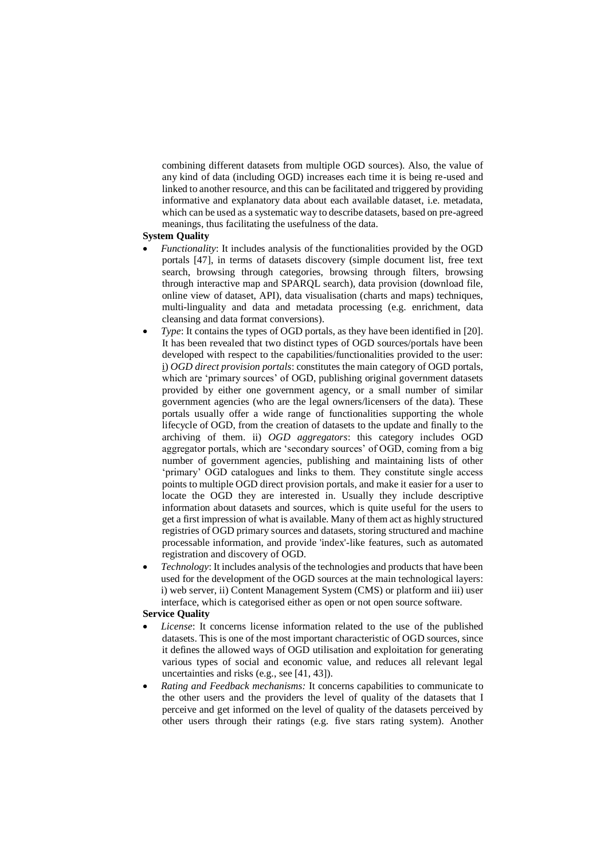combining different datasets from multiple OGD sources). Also, the value of any kind of data (including OGD) increases each time it is being re-used and linked to another resource, and this can be facilitated and triggered by providing informative and explanatory data about each available dataset, i.e. metadata, which can be used as a systematic way to describe datasets, based on pre-agreed meanings, thus facilitating the usefulness of the data.

## **System Quality**

- *Functionality*: It includes analysis of the functionalities provided by the OGD portals [47], in terms of datasets discovery (simple document list, free text search, browsing through categories, browsing through filters, browsing through interactive map and SPARQL search), data provision (download file, online view of dataset, API), data visualisation (charts and maps) techniques, multi-linguality and data and metadata processing (e.g. enrichment, data cleansing and data format conversions).
- *Type*: It contains the types of OGD portals, as they have been identified in [20]. It has been revealed that two distinct types of OGD sources/portals have been developed with respect to the capabilities/functionalities provided to the user: i) *OGD direct provision portals*: constitutes the main category of OGD portals, which are 'primary sources' of OGD, publishing original government datasets provided by either one government agency, or a small number of similar government agencies (who are the legal owners/licensers of the data). These portals usually offer a wide range of functionalities supporting the whole lifecycle of OGD, from the creation of datasets to the update and finally to the archiving of them. ii) *OGD aggregators*: this category includes OGD aggregator portals, which are 'secondary sources' of OGD, coming from a big number of government agencies, publishing and maintaining lists of other 'primary' OGD catalogues and links to them. They constitute single access points to multiple OGD direct provision portals, and make it easier for a user to locate the OGD they are interested in. Usually they include descriptive information about datasets and sources, which is quite useful for the users to get a first impression of what is available. Many of them act as highly structured registries of OGD primary sources and datasets, storing structured and machine processable information, and provide 'index'-like features, such as automated registration and discovery of OGD.
- *Technology*: It includes analysis of the technologies and products that have been used for the development of the OGD sources at the main technological layers: i) web server, ii) Content Management System (CMS) or platform and iii) user interface, which is categorised either as open or not open source software.

## **Service Quality**

- *License*: It concerns license information related to the use of the published datasets. This is one of the most important characteristic of OGD sources, since it defines the allowed ways of OGD utilisation and exploitation for generating various types of social and economic value, and reduces all relevant legal uncertainties and risks (e.g., see [41, 43]).
- *Rating and Feedback mechanisms:* It concerns capabilities to communicate to the other users and the providers the level of quality of the datasets that I perceive and get informed on the level of quality of the datasets perceived by other users through their ratings (e.g. five stars rating system). Another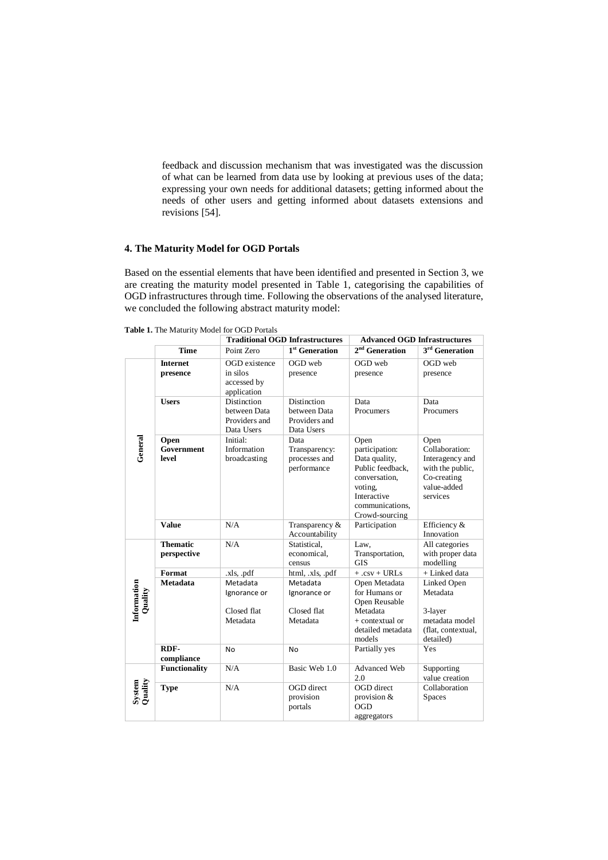feedback and discussion mechanism that was investigated was the discussion of what can be learned from data use by looking at previous uses of the data; expressing your own needs for additional datasets; getting informed about the needs of other users and getting informed about datasets extensions and revisions [54].

# **4. The Maturity Model for OGD Portals**

Based on the essential elements that have been identified and presented in Section 3, we are creating the maturity model presented in Table 1, categorising the capabilities of OGD infrastructures through time. Following the observations of the analysed literature, we concluded the following abstract maturity model:

|                        |                                    | <b>Traditional OGD Infrastructures</b>                            |                                                                   | <b>Advanced OGD Infrastructures</b>                                                                                                         |                                                                                                         |
|------------------------|------------------------------------|-------------------------------------------------------------------|-------------------------------------------------------------------|---------------------------------------------------------------------------------------------------------------------------------------------|---------------------------------------------------------------------------------------------------------|
|                        | <b>Time</b>                        | Point Zero                                                        | 1 <sup>st</sup> Generation                                        | $2nd$ Generation                                                                                                                            | 3 <sup>rd</sup> Generation                                                                              |
| General                | <b>Internet</b><br>presence        | OGD existence<br>in silos<br>accessed by<br>application           | OGD web<br>presence                                               | OGD web<br>presence                                                                                                                         | OGD web<br>presence                                                                                     |
|                        | <b>Users</b>                       | <b>Distinction</b><br>between Data<br>Providers and<br>Data Users | <b>Distinction</b><br>between Data<br>Providers and<br>Data Users | Data<br>Procumers                                                                                                                           | Data<br><b>Procumers</b>                                                                                |
|                        | Open<br><b>Government</b><br>level | Initial:<br>Information<br>broadcasting                           | Data<br>Transparency:<br>processes and<br>performance             | Open<br>participation:<br>Data quality,<br>Public feedback,<br>conversation.<br>voting,<br>Interactive<br>communications.<br>Crowd-sourcing | Open<br>Collaboration:<br>Interagency and<br>with the public,<br>Co-creating<br>value-added<br>services |
|                        | <b>Value</b>                       | N/A                                                               | Transparency &<br>Accountability                                  | Participation                                                                                                                               | Efficiency &<br>Innovation                                                                              |
| Information<br>Quality | <b>Thematic</b><br>perspective     | N/A                                                               | Statistical.<br>economical.<br>census                             | Law,<br>Transportation,<br><b>GIS</b>                                                                                                       | All categories<br>with proper data<br>modelling                                                         |
|                        | Format                             | .xls, .pdf                                                        | html, .xls, .pdf                                                  | $+$ .csv + URLs                                                                                                                             | + Linked data                                                                                           |
|                        | <b>Metadata</b>                    | Metadata<br>Ignorance or<br>Closed flat<br>Metadata               | Metadata<br>Ignorance or<br>Closed flat<br>Metadata               | Open Metadata<br>for Humans or<br>Open Reusable<br>Metadata<br>$+$ contextual or<br>detailed metadata<br>models                             | Linked Open<br>Metadata<br>3-layer<br>metadata model<br>(flat, contextual,<br>detailed)                 |
|                        | RDF-<br>compliance                 | <b>No</b>                                                         | <b>No</b>                                                         | Partially yes                                                                                                                               | Yes                                                                                                     |
| System<br>Quality      | <b>Functionality</b>               | N/A                                                               | Basic Web 1.0                                                     | <b>Advanced Web</b><br>2.0                                                                                                                  | Supporting<br>value creation                                                                            |
|                        | <b>Type</b>                        | N/A                                                               | OGD direct<br>provision<br>portals                                | OGD direct<br>provision $&$<br>OGD<br>aggregators                                                                                           | Collaboration<br><b>Spaces</b>                                                                          |

**Table 1.** The Maturity Model for OGD Portals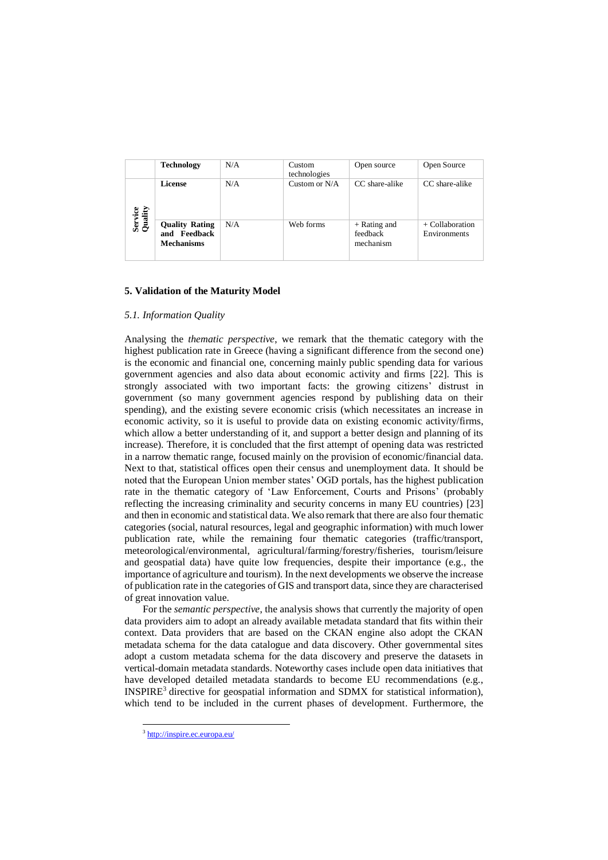|                    | <b>Technology</b>                                          | N/A | Custom<br>technologies | Open source                             | Open Source                       |
|--------------------|------------------------------------------------------------|-----|------------------------|-----------------------------------------|-----------------------------------|
| Service<br>Quality | License                                                    | N/A | Custom or $N/A$        | CC share-alike                          | CC share-alike                    |
|                    | <b>Quality Rating</b><br>and Feedback<br><b>Mechanisms</b> | N/A | Web forms              | $+$ Rating and<br>feedback<br>mechanism | $+$ Collaboration<br>Environments |

## **5. Validation of the Maturity Model**

## *5.1. Information Quality*

Analysing the *thematic perspective*, we remark that the thematic category with the highest publication rate in Greece (having a significant difference from the second one) is the economic and financial one, concerning mainly public spending data for various government agencies and also data about economic activity and firms [22]. This is strongly associated with two important facts: the growing citizens' distrust in government (so many government agencies respond by publishing data on their spending), and the existing severe economic crisis (which necessitates an increase in economic activity, so it is useful to provide data on existing economic activity/firms, which allow a better understanding of it, and support a better design and planning of its increase). Therefore, it is concluded that the first attempt of opening data was restricted in a narrow thematic range, focused mainly on the provision of economic/financial data. Next to that, statistical offices open their census and unemployment data. It should be noted that the European Union member states' OGD portals, has the highest publication rate in the thematic category of 'Law Enforcement, Courts and Prisons' (probably reflecting the increasing criminality and security concerns in many EU countries) [23] and then in economic and statistical data. We also remark that there are also four thematic categories (social, natural resources, legal and geographic information) with much lower publication rate, while the remaining four thematic categories (traffic/transport, meteorological/environmental, agricultural/farming/forestry/fisheries, tourism/leisure and geospatial data) have quite low frequencies, despite their importance (e.g., the importance of agriculture and tourism). In the next developments we observe the increase of publication rate in the categories of GIS and transport data, since they are characterised of great innovation value.

For the *semantic perspective*, the analysis shows that currently the majority of open data providers aim to adopt an already available metadata standard that fits within their context. Data providers that are based on the CKAN engine also adopt the CKAN metadata schema for the data catalogue and data discovery. Other governmental sites adopt a custom metadata schema for the data discovery and preserve the datasets in vertical-domain metadata standards. Noteworthy cases include open data initiatives that have developed detailed metadata standards to become EU recommendations (e.g., INSPIRE<sup>3</sup> directive for geospatial information and SDMX for statistical information), which tend to be included in the current phases of development. Furthermore, the

<sup>&</sup>lt;sup>3</sup> <http://inspire.ec.europa.eu/>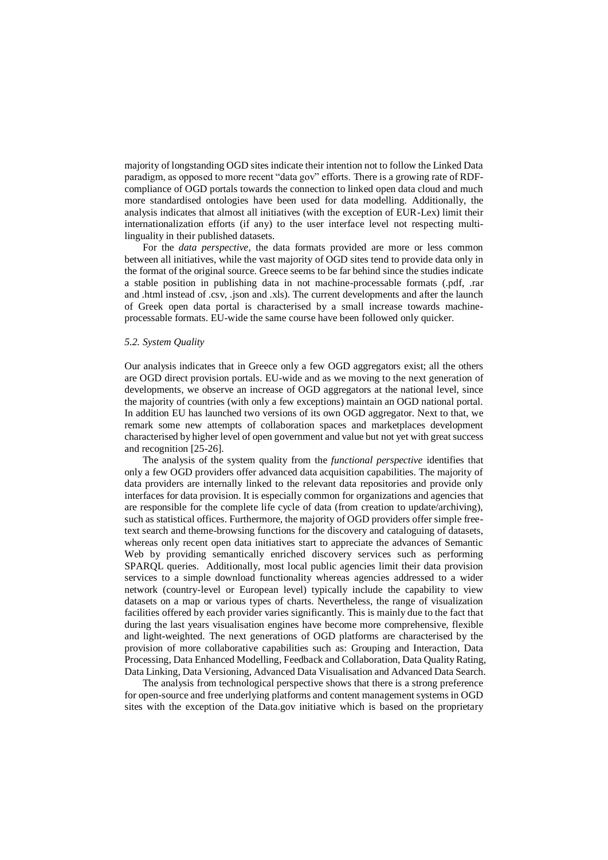majority of longstanding OGD sites indicate their intention not to follow the Linked Data paradigm, as opposed to more recent "data gov" efforts. There is a growing rate of RDFcompliance of OGD portals towards the connection to linked open data cloud and much more standardised ontologies have been used for data modelling. Additionally, the analysis indicates that almost all initiatives (with the exception of EUR-Lex) limit their internationalization efforts (if any) to the user interface level not respecting multilinguality in their published datasets.

For the *data perspective,* the data formats provided are more or less common between all initiatives, while the vast majority of OGD sites tend to provide data only in the format of the original source. Greece seems to be far behind since the studies indicate a stable position in publishing data in not machine-processable formats (.pdf, .rar and .html instead of .csv, .json and .xls). The current developments and after the launch of Greek open data portal is characterised by a small increase towards machineprocessable formats. EU-wide the same course have been followed only quicker.

# *5.2. System Quality*

Our analysis indicates that in Greece only a few OGD aggregators exist; all the others are OGD direct provision portals. EU-wide and as we moving to the next generation of developments, we observe an increase of OGD aggregators at the national level, since the majority of countries (with only a few exceptions) maintain an OGD national portal. In addition EU has launched two versions of its own OGD aggregator. Next to that, we remark some new attempts of collaboration spaces and marketplaces development characterised by higher level of open government and value but not yet with great success and recognition [25-26].

The analysis of the system quality from the *functional perspective* identifies that only a few OGD providers offer advanced data acquisition capabilities. The majority of data providers are internally linked to the relevant data repositories and provide only interfaces for data provision. It is especially common for organizations and agencies that are responsible for the complete life cycle of data (from creation to update/archiving), such as statistical offices. Furthermore, the majority of OGD providers offer simple freetext search and theme-browsing functions for the discovery and cataloguing of datasets, whereas only recent open data initiatives start to appreciate the advances of Semantic Web by providing semantically enriched discovery services such as performing SPARQL queries. Additionally, most local public agencies limit their data provision services to a simple download functionality whereas agencies addressed to a wider network (country-level or European level) typically include the capability to view datasets on a map or various types of charts. Nevertheless, the range of visualization facilities offered by each provider varies significantly. This is mainly due to the fact that during the last years visualisation engines have become more comprehensive, flexible and light-weighted. The next generations of OGD platforms are characterised by the provision of more collaborative capabilities such as: Grouping and Interaction, Data Processing, Data Enhanced Modelling, Feedback and Collaboration, Data Quality Rating, Data Linking, Data Versioning, Advanced Data Visualisation and Advanced Data Search.

The analysis from technological perspective shows that there is a strong preference for open-source and free underlying platforms and content management systems in OGD sites with the exception of the Data.gov initiative which is based on the proprietary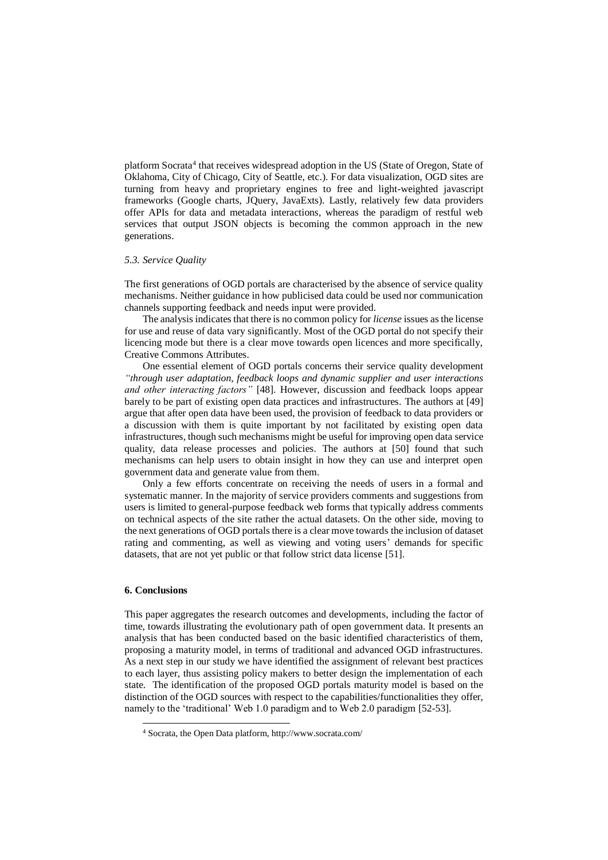platform Socrata<sup>4</sup> that receives widespread adoption in the US (State of Oregon, State of Oklahoma, City of Chicago, City of Seattle, etc.). For data visualization, OGD sites are turning from heavy and proprietary engines to free and light-weighted javascript frameworks (Google charts, JQuery, JavaExts). Lastly, relatively few data providers offer APIs for data and metadata interactions, whereas the paradigm of restful web services that output JSON objects is becoming the common approach in the new generations.

## *5.3. Service Quality*

The first generations of OGD portals are characterised by the absence of service quality mechanisms. Neither guidance in how publicised data could be used nor communication channels supporting feedback and needs input were provided.

The analysis indicates that there is no common policy for *license* issues as the license for use and reuse of data vary significantly. Most of the OGD portal do not specify their licencing mode but there is a clear move towards open licences and more specifically, Creative Commons Attributes.

One essential element of OGD portals concerns their service quality development *"through user adaptation, feedback loops and dynamic supplier and user interactions and other interacting factors"* [48]. However, discussion and feedback loops appear barely to be part of existing open data practices and infrastructures. The authors at [49] argue that after open data have been used, the provision of feedback to data providers or a discussion with them is quite important by not facilitated by existing open data infrastructures, though such mechanisms might be useful for improving open data service quality, data release processes and policies. The authors at [50] found that such mechanisms can help users to obtain insight in how they can use and interpret open government data and generate value from them.

Only a few efforts concentrate on receiving the needs of users in a formal and systematic manner. In the majority of service providers comments and suggestions from users is limited to general-purpose feedback web forms that typically address comments on technical aspects of the site rather the actual datasets. On the other side, moving to the next generations of OGD portals there is a clear move towards the inclusion of dataset rating and commenting, as well as viewing and voting users' demands for specific datasets, that are not yet public or that follow strict data license [51].

## **6. Conclusions**

-

This paper aggregates the research outcomes and developments, including the factor of time, towards illustrating the evolutionary path of open government data. It presents an analysis that has been conducted based on the basic identified characteristics of them, proposing a maturity model, in terms of traditional and advanced OGD infrastructures. As a next step in our study we have identified the assignment of relevant best practices to each layer, thus assisting policy makers to better design the implementation of each state. The identification of the proposed OGD portals maturity model is based on the distinction of the OGD sources with respect to the capabilities/functionalities they offer, namely to the 'traditional' Web 1.0 paradigm and to Web 2.0 paradigm [52-53].

<sup>4</sup> Socrata, the Open Data platform, http://www.socrata.com/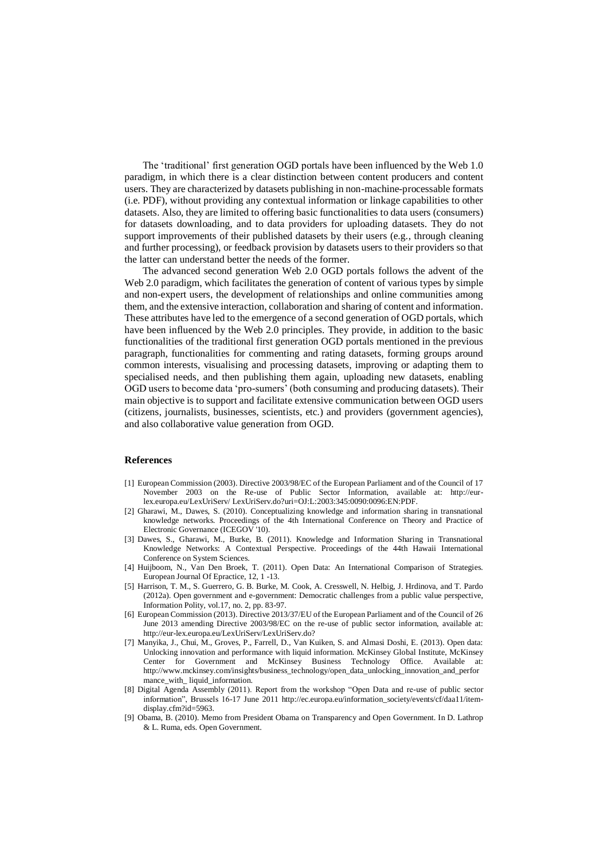The 'traditional' first generation OGD portals have been influenced by the Web 1.0 paradigm, in which there is a clear distinction between content producers and content users. They are characterized by datasets publishing in non-machine-processable formats (i.e. PDF), without providing any contextual information or linkage capabilities to other datasets. Also, they are limited to offering basic functionalities to data users (consumers) for datasets downloading, and to data providers for uploading datasets. They do not support improvements of their published datasets by their users (e.g., through cleaning and further processing), or feedback provision by datasets users to their providers so that the latter can understand better the needs of the former.

The advanced second generation Web 2.0 OGD portals follows the advent of the Web 2.0 paradigm, which facilitates the generation of content of various types by simple and non-expert users, the development of relationships and online communities among them, and the extensive interaction, collaboration and sharing of content and information. These attributes have led to the emergence of a second generation of OGD portals, which have been influenced by the Web 2.0 principles. They provide, in addition to the basic functionalities of the traditional first generation OGD portals mentioned in the previous paragraph, functionalities for commenting and rating datasets, forming groups around common interests, visualising and processing datasets, improving or adapting them to specialised needs, and then publishing them again, uploading new datasets, enabling OGD users to become data 'pro-sumers' (both consuming and producing datasets). Their main objective is to support and facilitate extensive communication between OGD users (citizens, journalists, businesses, scientists, etc.) and providers (government agencies), and also collaborative value generation from OGD.

#### **References**

- [1] European Commission (2003). Directive 2003/98/EC of the European Parliament and of the Council of 17 November 2003 on the Re-use of Public Sector Information, available at: http://eurlex.europa.eu/LexUriServ/ LexUriServ.do?uri=OJ:L:2003:345:0090:0096:EN:PDF.
- [2] Gharawi, M., Dawes, S. (2010). Conceptualizing knowledge and information sharing in transnational knowledge networks. Proceedings of the 4th International Conference on Theory and Practice of Electronic Governance (ICEGOV '10).
- [3] Dawes, S., Gharawi, M., Burke, B. (2011). Knowledge and Information Sharing in Transnational Knowledge Networks: A Contextual Perspective. Proceedings of the 44th Hawaii International Conference on System Sciences.
- [4] Huijboom, N., Van Den Broek, T. (2011). Open Data: An International Comparison of Strategies. European Journal Of Epractice, 12, 1 -13.
- [5] Harrison, T. M., S. Guerrero, G. B. Burke, M. Cook, A. Cresswell, N. Helbig, J. Hrdinova, and T. Pardo (2012a). Open government and e-government: Democratic challenges from a public value perspective, Information Polity, vol.17, no. 2, pp. 83-97.
- [6] European Commission (2013). Directive 2013/37/EU of the European Parliament and of the Council of 26 June 2013 amending Directive 2003/98/EC on the re-use of public sector information, available at: http://eur-lex.europa.eu/LexUriServ/LexUriServ.do?
- [7] Manyika, J., Chui, M., Groves, P., Farrell, D., Van Kuiken, S. and Almasi Doshi, E. (2013). Open data: Unlocking innovation and performance with liquid information. McKinsey Global Institute, McKinsey Center for Government and McKinsey Business Technology Office. Available at: http://www.mckinsey.com/insights/business\_technology/open\_data\_unlocking\_innovation\_and\_perfor mance with liquid information.
- [8] Digital Agenda Assembly (2011). Report from the workshop "Open Data and re-use of public sector information", Brussels 16-17 June 2011 http://ec.europa.eu/information\_society/events/cf/daa11/itemdisplay.cfm?id=5963.
- [9] Obama, B. (2010). Memo from President Obama on Transparency and Open Government. In D. Lathrop & L. Ruma, eds. Open Government.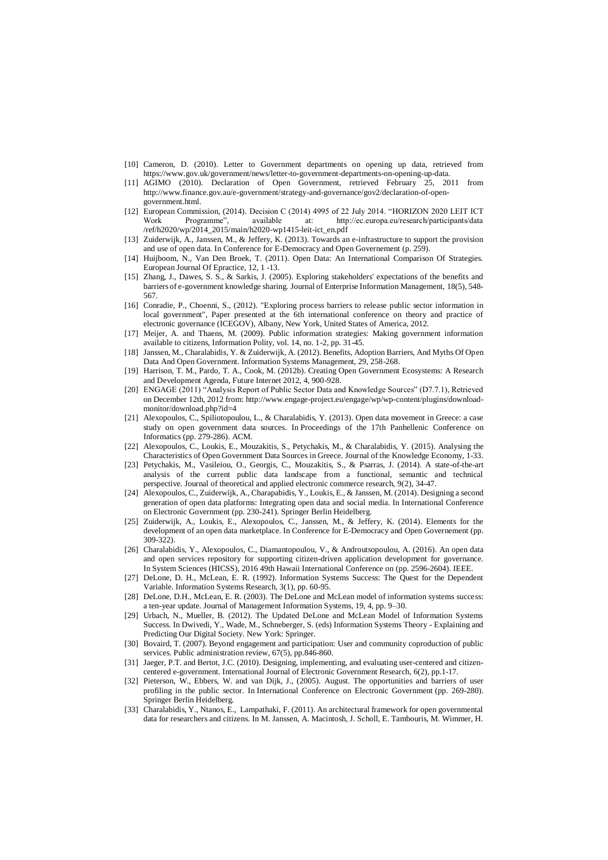- [10] Cameron, D. (2010). Letter to Government departments on opening up data, retrieved from https://www.gov.uk/government/news/letter-to-government-departments-on-opening-up-data.
- [11] AGIMO (2010). Declaration of Open Government, retrieved February 25, 2011 from http://www.finance.gov.au/e-government/strategy-and-governance/gov2/declaration-of-opengovernment.html.
- [12] European Commission, (2014). Decision C (2014) 4995 of 22 July 2014. "HORIZON 2020 LEIT ICT Work Programme", available at: http://ec.europa.eu/research/participants/data /ref/h2020/wp/2014\_2015/main/h2020-wp1415-leit-ict\_en.pdf
- [13] Zuiderwijk, A., Janssen, M., & Jeffery, K. (2013). Towards an e-infrastructure to support the provision and use of open data. In Conference for E-Democracy and Open Governement (p. 259).
- [14] Huijboom, N., Van Den Broek, T. (2011). Open Data: An International Comparison Of Strategies. European Journal Of Epractice, 12, 1 -13.
- [15] Zhang, J., Dawes, S. S., & Sarkis, J. (2005). Exploring stakeholders' expectations of the benefits and barriers of e-government knowledge sharing. Journal of Enterprise Information Management, 18(5), 548- 567.
- [16] Conradie, P., Choenni, S., (2012). "Exploring process barriers to release public sector information in local government", Paper presented at the 6th international conference on theory and practice of electronic governance (ICEGOV), Albany, New York, United States of America, 2012.
- [17] Meijer, A. and Thaens, M. (2009). Public information strategies: Making government information available to citizens, Information Polity, vol. 14, no. 1-2, pp. 31-45.
- [18] Janssen, M., Charalabidis, Y. & Zuiderwijk, A. (2012). Benefits, Adoption Barriers, And Myths Of Open Data And Open Government. Information Systems Management, 29, 258-268.
- [19] Harrison, T. M., Pardo, T. A., Cook, M. (2012b). Creating Open Government Ecosystems: A Research and Development Agenda, Future Internet 2012, 4, 900-928.
- [20] ENGAGE (2011) "Analysis Report of Public Sector Data and Knowledge Sources" (D7.7.1), Retrieved on December 12th, 2012 from[: http://www.engage-project.eu/engage/wp/wp-content/plugins/download](http://www.engage-project.eu/engage/wp/wp-content/plugins/download-monitor/download.php?id=4)[monitor/download.php?id=4](http://www.engage-project.eu/engage/wp/wp-content/plugins/download-monitor/download.php?id=4)
- [21] Alexopoulos, C., Spiliotopoulou, L., & Charalabidis, Y. (2013). Open data movement in Greece: a case study on open government data sources. In Proceedings of the 17th Panhellenic Conference on Informatics (pp. 279-286). ACM.
- [22] Alexopoulos, C., Loukis, E., Mouzakitis, S., Petychakis, M., & Charalabidis, Y. (2015). Analysing the Characteristics of Open Government Data Sources in Greece. Journal of the Knowledge Economy, 1-33.
- [23] Petychakis, M., Vasileiou, O., Georgis, C., Mouzakitis, S., & Psarras, J. (2014). A state-of-the-art analysis of the current public data landscape from a functional, semantic and technical perspective. Journal of theoretical and applied electronic commerce research, 9(2), 34-47.
- [24] Alexopoulos, C., Zuiderwijk, A., Charapabidis, Y., Loukis, E., & Janssen, M. (2014). Designing a second generation of open data platforms: Integrating open data and social media. In International Conference on Electronic Government (pp. 230-241). Springer Berlin Heidelberg.
- [25] Zuiderwijk, A., Loukis, E., Alexopoulos, C., Janssen, M., & Jeffery, K. (2014). Elements for the development of an open data marketplace. In Conference for E-Democracy and Open Governement (pp. 309-322).
- [26] Charalabidis, Y., Alexopoulos, C., Diamantopoulou, V., & Androutsopoulou, A. (2016). An open data and open services repository for supporting citizen-driven application development for governance. In System Sciences (HICSS), 2016 49th Hawaii International Conference on (pp. 2596-2604). IEEE.
- [27] DeLone, D. H., McLean, E. R. (1992). Information Systems Success: The Quest for the Dependent Variable. Information Systems Research, 3(1), pp. 60-95.
- [28] DeLone, D.H., McLean, E. R. (2003). The DeLone and McLean model of information systems success: a ten-year update. Journal of Management Information Systems, 19, 4, pp. 9–30.
- [29] Urbach, N., Mueller, B. (2012). The Updated DeLone and McLean Model of Information Systems Success. In Dwivedi, Y., Wade, M., Schneberger, S. (eds) Information Systems Theory - Explaining and Predicting Our Digital Society. New York: Springer.
- [30] Bovaird, T. (2007). Beyond engagement and participation: User and community coproduction of public services. Public administration review, 67(5), pp.846-860.
- [31] Jaeger, P.T. and Bertot, J.C. (2010). Designing, implementing, and evaluating user-centered and citizencentered e-government. International Journal of Electronic Government Research, 6(2), pp.1-17.
- [32] Pieterson, W., Ebbers, W. and van Dijk, J., (2005). August. The opportunities and barriers of user profiling in the public sector. In International Conference on Electronic Government (pp. 269-280). Springer Berlin Heidelberg.
- [33] Charalabidis, Y., Ntanos, E., Lampathaki, F. (2011). An architectural framework for open governmental data for researchers and citizens. In M. Janssen, A. Macintosh, J. Scholl, E. Tambouris, M. Wimmer, H.